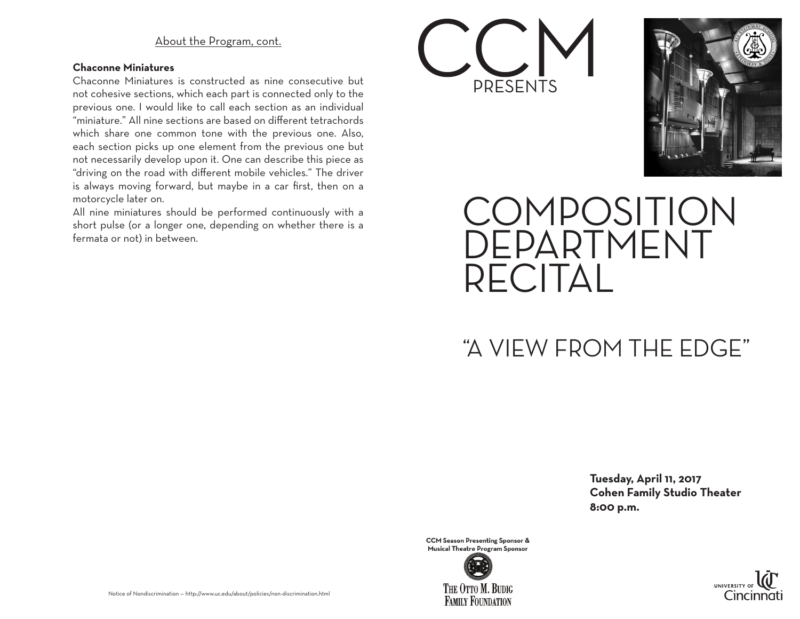### About the Program, cont.

#### **Chaconne Miniatures**

Chaconne Miniatures is constructed as nine consecutive but not cohesive sections, which each part is connected only to the previous one. I would like to call each section as an individual "miniature." All nine sections are based on different tetrachords which share one common tone with the previous one. Also, each section picks up one element from the previous one but not necessarily develop upon it. One can describe this piece as "driving on the road with different mobile vehicles." The driver is always moving forward, but maybe in a car first, then on a motorcycle later on.

All nine miniatures should be performed continuously with a short pulse (or a longer one, depending on whether there is a fermata or not) in between.





## COMPOSITION DEPARTMENT RECITAL

### "A VIEW FROM THE EDGE"

 **Tuesday, April 11, 2017 Cohen Family Studio Theater 8:00 p.m.**

**CCM Season Presenting Sponsor &** Musical Theatre Program Sponsor